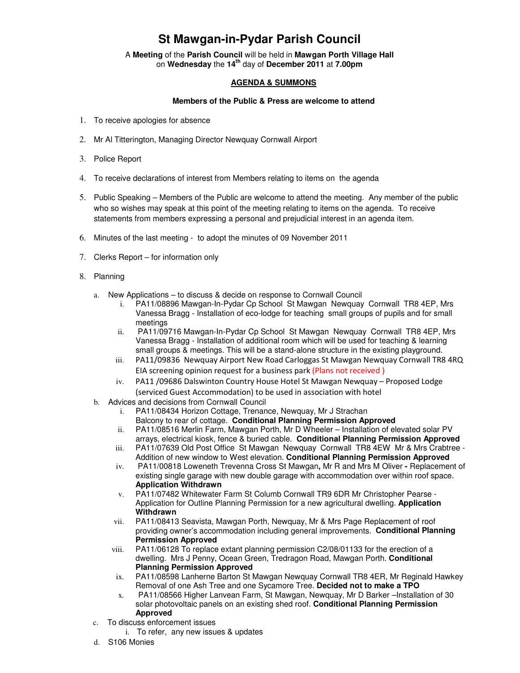# **St Mawgan-in-Pydar Parish Council**

A **Meeting** of the **Parish Council** will be held in **Mawgan Porth Village Hall** on **Wednesday** the **14th** day of **December 2011** at **7.00pm** 

#### **AGENDA & SUMMONS**

#### **Members of the Public & Press are welcome to attend**

- 1. To receive apologies for absence
- 2. Mr Al Titterington, Managing Director Newquay Cornwall Airport
- 3. Police Report
- 4. To receive declarations of interest from Members relating to items on the agenda
- 5. Public Speaking Members of the Public are welcome to attend the meeting. Any member of the public who so wishes may speak at this point of the meeting relating to items on the agenda. To receive statements from members expressing a personal and prejudicial interest in an agenda item.
- 6. Minutes of the last meeting to adopt the minutes of 09 November 2011
- 7. Clerks Report for information only
- 8. Planning
	- a. New Applications to discuss & decide on response to Cornwall Council
		- i. PA11/08896 Mawgan-In-Pydar Cp School St Mawgan Newquay Cornwall TR8 4EP, Mrs Vanessa Bragg - Installation of eco-lodge for teaching small groups of pupils and for small meetings
		- ii. PA11/09716 Mawgan-In-Pydar Cp School St Mawgan Newquay Cornwall TR8 4EP, Mrs Vanessa Bragg - Installation of additional room which will be used for teaching & learning small groups & meetings. This will be a stand-alone structure in the existing playground.
		- iii. PA11/09836 Newquay Airport New Road Carloggas St Mawgan Newquay Cornwall TR8 4RQ EIA screening opinion request for a business park (Plans not received )
		- iv. PA11 /09686 Dalswinton Country House Hotel St Mawgan Newquay Proposed Lodge (serviced Guest Accommodation) to be used in association with hotel
	- b. Advices and decisions from Cornwall Council
		- i. PA11/08434 Horizon Cottage, Trenance, Newquay, Mr J Strachan Balcony to rear of cottage. **Conditional Planning Permission Approved**
		- ii. PA11/08516 Merlin Farm, Mawgan Porth, Mr D Wheeler Installation of elevated solar PV arrays, electrical kiosk, fence & buried cable. **Conditional Planning Permission Approved**
		- iii. PA11/07639 Old Post Office St Mawgan Newquay Cornwall TR8 4EW Mr & Mrs Crabtree Addition of new window to West elevation. **Conditional Planning Permission Approved**
		- iv. PA11/00818 Loweneth Trevenna Cross St Mawgan**,** Mr R and Mrs M OliverReplacement of existing single garage with new double garage with accommodation over within roof space. **Application Withdrawn**
		- v. PA11/07482 Whitewater Farm St Columb Cornwall TR9 6DR Mr Christopher Pearse Application for Outline Planning Permission for a new agricultural dwelling. **Application Withdrawn**
		- vii. PA11/08413 Seavista, Mawgan Porth, Newquay, Mr & Mrs Page Replacement of roof providing owner's accommodation including general improvements. **Conditional Planning Permission Approved**
		- viii. PA11/06128 To replace extant planning permission C2/08/01133 for the erection of a dwelling. Mrs J Penny, Ocean Green, Tredragon Road, Mawgan Porth. **Conditional Planning Permission Approved**
		- ix. PA11/08598 Lanherne Barton St Mawgan Newquay Cornwall TR8 4ER, Mr Reginald Hawkey Removal of one Ash Tree and one Sycamore Tree. **Decided not to make a TPO**
		- x. PA11/08566 Higher Lanvean Farm, St Mawgan, Newquay, Mr D Barker –Installation of 30 solar photovoltaic panels on an existing shed roof. **Conditional Planning Permission Approved**
	- c. To discuss enforcement issues
		- i. To refer, any new issues & updates
	- d. S106 Monies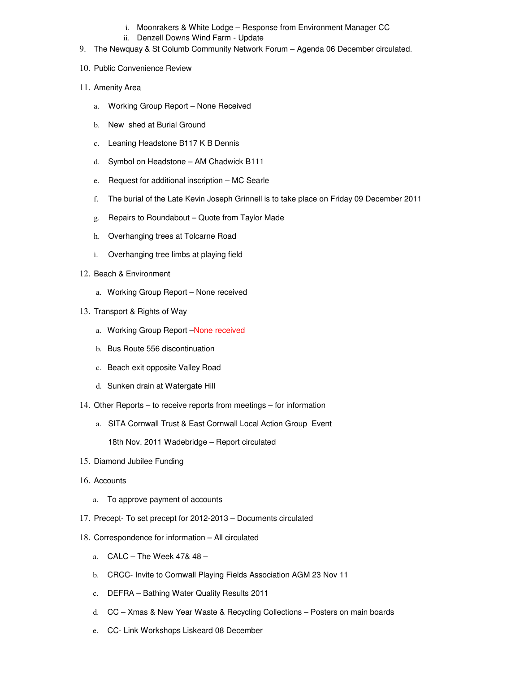- i. Moonrakers & White Lodge Response from Environment Manager CC
- ii. Denzell Downs Wind Farm Update
- 9. The Newquay & St Columb Community Network Forum Agenda 06 December circulated.
- 10. Public Convenience Review
- 11. Amenity Area
	- a. Working Group Report None Received
	- b. New shed at Burial Ground
	- c. Leaning Headstone B117 K B Dennis
	- d. Symbol on Headstone AM Chadwick B111
	- e. Request for additional inscription MC Searle
	- f. The burial of the Late Kevin Joseph Grinnell is to take place on Friday 09 December 2011
	- g. Repairs to Roundabout Quote from Taylor Made
	- h. Overhanging trees at Tolcarne Road
	- i. Overhanging tree limbs at playing field
- 12. Beach & Environment
	- a. Working Group Report None received
- 13. Transport & Rights of Way
	- a. Working Group Report –None received
	- b. Bus Route 556 discontinuation
	- c. Beach exit opposite Valley Road
	- d. Sunken drain at Watergate Hill
- 14. Other Reports to receive reports from meetings for information
	- a. SITA Cornwall Trust & East Cornwall Local Action Group Event 18th Nov. 2011 Wadebridge – Report circulated
- 15. Diamond Jubilee Funding
- 16. Accounts
	- a. To approve payment of accounts
- 17. Precept- To set precept for 2012-2013 Documents circulated
- 18. Correspondence for information All circulated
	- a. CALC The Week 47& 48 –
	- b. CRCC- Invite to Cornwall Playing Fields Association AGM 23 Nov 11
	- c. DEFRA Bathing Water Quality Results 2011
	- d. CC Xmas & New Year Waste & Recycling Collections Posters on main boards
	- e. CC- Link Workshops Liskeard 08 December